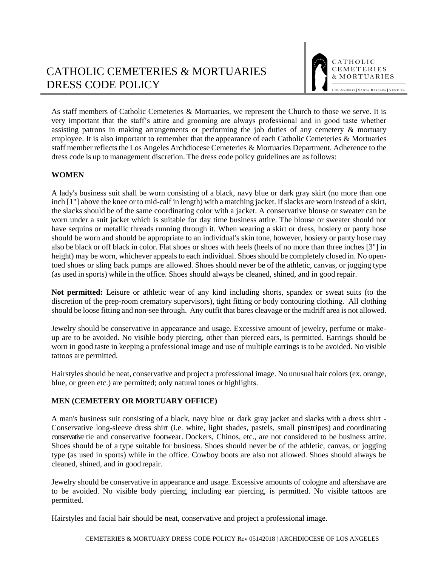As staff members of Catholic Cemeteries & Mortuaries, we represent the Church to those we serve. It is very important that the staff's attire and grooming are always professional and in good taste whether assisting patrons in making arrangements or performing the job duties of any cemetery & mortuary employee. It is also important to remember that the appearance of each Catholic Cemeteries & Mortuaries staff member reflects the Los Angeles Archdiocese Cemeteries & Mortuaries Department. Adherence to the dress code is up to management discretion. The dress code policy guidelines are as follows:

## **WOMEN**

A lady's business suit shall be worn consisting of a black, navy blue or dark gray skirt (no more than one inch [1"] above the knee or to mid-calf in length) with a matching jacket. If slacks are worn instead of a skirt, the slacks should be of the same coordinating color with a jacket. A conservative blouse or sweater can be worn under a suit jacket which is suitable for day time business attire. The blouse or sweater should not have sequins or metallic threads running through it. When wearing a skirt or dress, hosiery or panty hose should be worn and should be appropriate to an individual's skin tone, however, hosiery or panty hose may also be black or off black in color. Flat shoes or shoes with heels (heels of no more than three inches [3"] in height) may be worn, whichever appeals to each individual. Shoes should be completely closed in. No opentoed shoes or sling back pumps are allowed. Shoes should never be of the athletic, canvas, or jogging type (as used in sports) while in the office. Shoes should always be cleaned, shined, and in good repair.

**Not permitted:** Leisure or athletic wear of any kind including shorts, spandex or sweat suits (to the discretion of the prep-room crematory supervisors), tight fitting or body contouring clothing. All clothing should be loose fitting and non-see through. Any outfit that bares cleavage or the midriff area is not allowed.

Jewelry should be conservative in appearance and usage. Excessive amount of jewelry, perfume or makeup are to be avoided. No visible body piercing, other than pierced ears, is permitted. Earrings should be worn in good taste in keeping a professional image and use of multiple earrings is to be avoided. No visible tattoos are permitted.

Hairstyles should be neat, conservative and project a professional image. No unusual hair colors (ex. orange, blue, or green etc.) are permitted; only natural tones or highlights.

## **MEN (CEMETERY OR MORTUARY OFFICE)**

A man's business suit consisting of a black, navy blue or dark gray jacket and slacks with a dress shirt - Conservative long-sleeve dress shirt (i.e. white, light shades, pastels, small pinstripes) and coordinating conservative tie and conservative footwear. Dockers, Chinos, etc., are not considered to be business attire. Shoes should be of a type suitable for business. Shoes should never be of the athletic, canvas, or jogging type (as used in sports) while in the office. Cowboy boots are also not allowed. Shoes should always be cleaned, shined, and in good repair.

Jewelry should be conservative in appearance and usage. Excessive amounts of cologne and aftershave are to be avoided. No visible body piercing, including ear piercing, is permitted. No visible tattoos are permitted.

Hairstyles and facial hair should be neat, conservative and project a professional image.